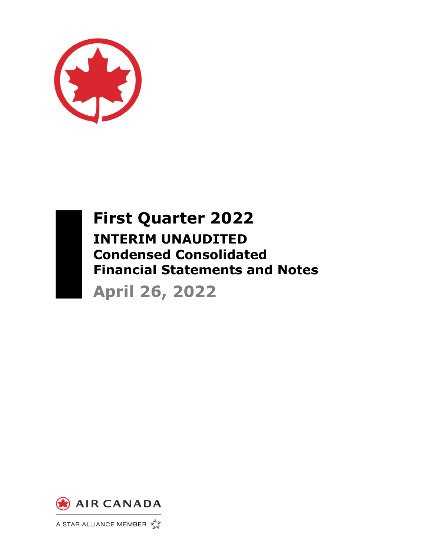



**First Quarter 2022 INTERIM UNAUDITED Condensed Consolidated Financial Statements and Notes April 26, 2022**



A STAR ALLIANCE MEMBER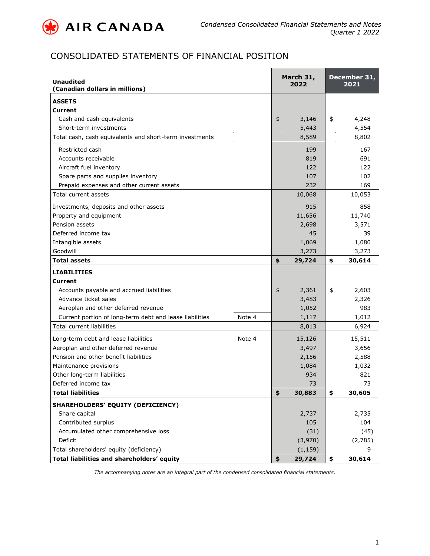

# CONSOLIDATED STATEMENTS OF FINANCIAL POSITION

| <b>Unaudited</b><br>(Canadian dollars in millions)      |        |               | March 31,<br>2022 | December 31,<br>2021 |
|---------------------------------------------------------|--------|---------------|-------------------|----------------------|
| <b>ASSETS</b>                                           |        |               |                   |                      |
| Current                                                 |        |               |                   |                      |
| Cash and cash equivalents                               |        | $\frac{4}{5}$ | 3,146             | \$<br>4,248          |
| Short-term investments                                  |        |               | 5,443             | 4,554                |
| Total cash, cash equivalents and short-term investments |        |               | 8,589             | 8,802                |
| Restricted cash                                         |        |               | 199               | 167                  |
| Accounts receivable                                     |        |               | 819               | 691                  |
| Aircraft fuel inventory                                 |        |               | 122               | 122                  |
| Spare parts and supplies inventory                      |        |               | 107               | 102                  |
| Prepaid expenses and other current assets               |        |               | 232               | 169                  |
| Total current assets                                    |        |               | 10,068            | 10,053               |
| Investments, deposits and other assets                  |        |               | 915               | 858                  |
| Property and equipment                                  |        |               | 11,656            | 11,740               |
| Pension assets                                          |        |               | 2,698             | 3,571                |
| Deferred income tax                                     |        |               | 45                | 39                   |
| Intangible assets                                       |        |               | 1,069             | 1,080                |
| Goodwill                                                |        |               | 3,273             | 3,273                |
| <b>Total assets</b>                                     |        | \$            | 29,724            | \$<br>30,614         |
| <b>LIABILITIES</b>                                      |        |               |                   |                      |
| Current                                                 |        |               |                   |                      |
| Accounts payable and accrued liabilities                |        | \$            | 2,361             | \$<br>2,603          |
| Advance ticket sales                                    |        |               | 3,483             | 2,326                |
| Aeroplan and other deferred revenue                     |        |               | 1,052             | 983                  |
| Current portion of long-term debt and lease liabilities | Note 4 |               | 1,117             | 1,012                |
| <b>Total current liabilities</b>                        |        |               | 8,013             | 6,924                |
| Long-term debt and lease liabilities                    | Note 4 |               | 15,126            | 15,511               |
| Aeroplan and other deferred revenue                     |        |               | 3,497             | 3,656                |
| Pension and other benefit liabilities                   |        |               | 2,156             | 2,588                |
| Maintenance provisions                                  |        |               | 1,084             | 1,032                |
| Other long-term liabilities                             |        |               | 934               | 821                  |
| Deferred income tax                                     |        |               | 73                | 73                   |
| <b>Total liabilities</b>                                |        | \$            | 30,883            | \$<br>30,605         |
| SHAREHOLDERS' EQUITY (DEFICIENCY)                       |        |               |                   |                      |
| Share capital                                           |        |               | 2,737             | 2,735                |
| Contributed surplus                                     |        |               | 105               | 104                  |
| Accumulated other comprehensive loss                    |        |               | (31)              | (45)                 |
| Deficit                                                 |        |               | (3,970)           | (2,785)              |
| Total shareholders' equity (deficiency)                 |        |               | (1, 159)          | 9                    |
| Total liabilities and shareholders' equity              |        | \$            | 29,724            | \$<br>30,614         |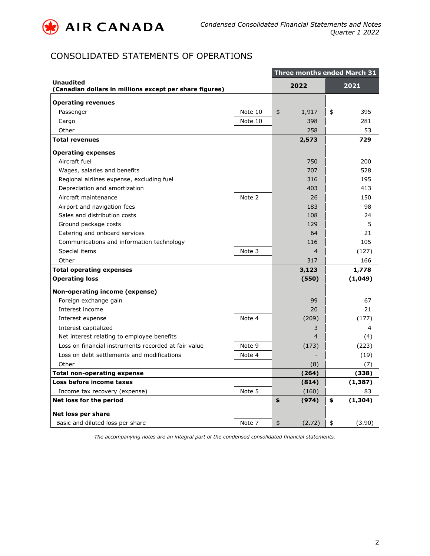

# CONSOLIDATED STATEMENTS OF OPERATIONS

|                                                                             |         | Three months ended March 31 |                |    |          |  |  |  |  |  |  |
|-----------------------------------------------------------------------------|---------|-----------------------------|----------------|----|----------|--|--|--|--|--|--|
| <b>Unaudited</b><br>(Canadian dollars in millions except per share figures) |         |                             | 2022           |    | 2021     |  |  |  |  |  |  |
| <b>Operating revenues</b>                                                   |         |                             |                |    |          |  |  |  |  |  |  |
| Passenger                                                                   | Note 10 | \$                          | 1,917          | \$ | 395      |  |  |  |  |  |  |
| Cargo                                                                       | Note 10 |                             | 398            |    | 281      |  |  |  |  |  |  |
| Other                                                                       |         |                             | 258            |    | 53       |  |  |  |  |  |  |
| <b>Total revenues</b>                                                       |         |                             | 2,573          |    | 729      |  |  |  |  |  |  |
| <b>Operating expenses</b>                                                   |         |                             |                |    |          |  |  |  |  |  |  |
| Aircraft fuel                                                               |         |                             | 750            |    | 200      |  |  |  |  |  |  |
| Wages, salaries and benefits                                                |         |                             | 707            |    | 528      |  |  |  |  |  |  |
| Regional airlines expense, excluding fuel                                   |         |                             | 316            |    | 195      |  |  |  |  |  |  |
| Depreciation and amortization                                               |         |                             | 403            |    | 413      |  |  |  |  |  |  |
| Aircraft maintenance                                                        | Note 2  |                             | 26             |    | 150      |  |  |  |  |  |  |
| Airport and navigation fees                                                 |         |                             | 183            |    | 98       |  |  |  |  |  |  |
| Sales and distribution costs                                                |         |                             | 108            |    | 24       |  |  |  |  |  |  |
| Ground package costs                                                        |         |                             | 129            |    | 5        |  |  |  |  |  |  |
| Catering and onboard services                                               |         |                             | 64             |    | 21       |  |  |  |  |  |  |
| Communications and information technology                                   |         |                             | 116            |    | 105      |  |  |  |  |  |  |
| Special items                                                               | Note 3  |                             | $\overline{4}$ |    | (127)    |  |  |  |  |  |  |
| Other                                                                       |         |                             | 317            |    | 166      |  |  |  |  |  |  |
| <b>Total operating expenses</b>                                             |         |                             | 3,123          |    | 1,778    |  |  |  |  |  |  |
| <b>Operating loss</b>                                                       |         |                             | (550)          |    | (1,049)  |  |  |  |  |  |  |
| Non-operating income (expense)                                              |         |                             |                |    |          |  |  |  |  |  |  |
| Foreign exchange gain                                                       |         |                             | 99             |    | 67       |  |  |  |  |  |  |
| Interest income                                                             |         |                             | 20             |    | 21       |  |  |  |  |  |  |
| Interest expense                                                            | Note 4  |                             | (209)          |    | (177)    |  |  |  |  |  |  |
| Interest capitalized                                                        |         |                             | 3              |    | 4        |  |  |  |  |  |  |
| Net interest relating to employee benefits                                  |         |                             | 4              |    | (4)      |  |  |  |  |  |  |
| Loss on financial instruments recorded at fair value                        | Note 9  |                             | (173)          |    | (223)    |  |  |  |  |  |  |
| Loss on debt settlements and modifications                                  | Note 4  |                             |                |    | (19)     |  |  |  |  |  |  |
| Other                                                                       |         |                             | (8)            |    | (7)      |  |  |  |  |  |  |
| <b>Total non-operating expense</b>                                          |         |                             | (264)          |    | (338)    |  |  |  |  |  |  |
| Loss before income taxes                                                    |         |                             | (814)          |    | (1, 387) |  |  |  |  |  |  |
| Income tax recovery (expense)                                               | Note 5  |                             | (160)          |    | 83       |  |  |  |  |  |  |
| Net loss for the period                                                     |         | \$                          | (974)          | \$ | (1, 304) |  |  |  |  |  |  |
| Net loss per share                                                          |         |                             |                |    |          |  |  |  |  |  |  |
| Basic and diluted loss per share                                            | Note 7  | \$                          | (2.72)         | \$ | (3.90)   |  |  |  |  |  |  |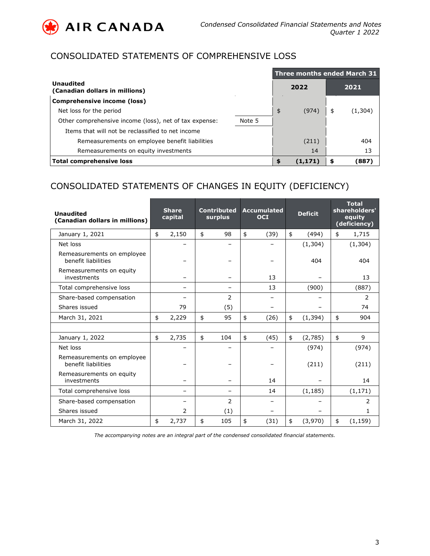

# CONSOLIDATED STATEMENTS OF COMPREHENSIVE LOSS

|                                                        |        | <b>Three months ended March 31</b> |         |    |         |  |  |  |  |  |
|--------------------------------------------------------|--------|------------------------------------|---------|----|---------|--|--|--|--|--|
| <b>Unaudited</b><br>(Canadian dollars in millions)     |        |                                    | 2022    |    | 2021    |  |  |  |  |  |
| Comprehensive income (loss)                            |        |                                    |         |    |         |  |  |  |  |  |
| Net loss for the period                                |        | \$                                 | (974)   | \$ | (1,304) |  |  |  |  |  |
| Other comprehensive income (loss), net of tax expense: | Note 5 |                                    |         |    |         |  |  |  |  |  |
| Items that will not be reclassified to net income      |        |                                    |         |    |         |  |  |  |  |  |
| Remeasurements on employee benefit liabilities         |        |                                    | (211)   |    | 404     |  |  |  |  |  |
| Remeasurements on equity investments                   |        |                                    | 14      |    | 13      |  |  |  |  |  |
| <b>Total comprehensive loss</b>                        |        |                                    | (1,171) |    | (887)   |  |  |  |  |  |

# CONSOLIDATED STATEMENTS OF CHANGES IN EQUITY (DEFICIENCY)

| <b>Unaudited</b><br>(Canadian dollars in millions) | <b>Share</b><br>capital | <b>Contributed</b><br>surplus | <b>Accumulated</b><br><b>OCI</b> |               | <b>Deficit</b> | <b>Total</b><br>shareholders'<br>equity<br>(deficiency) |          |  |
|----------------------------------------------------|-------------------------|-------------------------------|----------------------------------|---------------|----------------|---------------------------------------------------------|----------|--|
| January 1, 2021                                    | \$<br>2,150             | \$<br>98                      | \$<br>(39)                       | $\frac{1}{2}$ | (494)          | \$                                                      | 1,715    |  |
| Net loss                                           |                         |                               |                                  |               | (1, 304)       |                                                         | (1, 304) |  |
| Remeasurements on employee<br>benefit liabilities  |                         |                               |                                  |               | 404            |                                                         | 404      |  |
| Remeasurements on equity<br>investments            |                         |                               | 13                               |               |                |                                                         | 13       |  |
| Total comprehensive loss                           |                         |                               | 13                               |               | (900)          |                                                         | (887)    |  |
| Share-based compensation                           |                         | 2                             |                                  |               |                |                                                         | 2        |  |
| Shares issued                                      | 79                      | (5)                           |                                  |               |                |                                                         | 74       |  |
| March 31, 2021                                     | \$<br>2,229             | \$<br>95                      | \$<br>(26)                       | \$            | (1, 394)       | \$                                                      | 904      |  |
|                                                    |                         |                               |                                  |               |                |                                                         |          |  |
| January 1, 2022                                    | \$<br>2,735             | \$<br>104                     | \$<br>(45)                       | \$            | (2,785)        | \$                                                      | 9        |  |
| Net loss                                           |                         |                               |                                  |               | (974)          |                                                         | (974)    |  |
| Remeasurements on employee<br>benefit liabilities  |                         |                               |                                  |               | (211)          |                                                         | (211)    |  |
| Remeasurements on equity<br>investments            |                         |                               | 14                               |               |                |                                                         | 14       |  |
| Total comprehensive loss                           | -                       |                               | 14                               |               | (1, 185)       |                                                         | (1, 171) |  |
| Share-based compensation                           |                         | $\overline{2}$                |                                  |               |                |                                                         | 2        |  |
| Shares issued                                      | $\overline{2}$          | (1)                           |                                  |               |                |                                                         | 1        |  |
| March 31, 2022                                     | \$<br>2,737             | \$<br>105                     | \$<br>(31)                       | \$            | (3,970)        | \$                                                      | (1, 159) |  |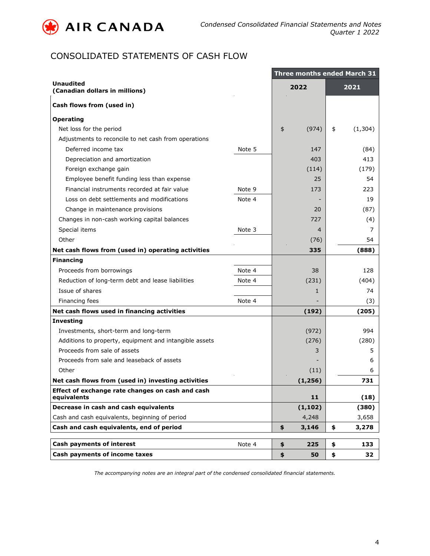

# CONSOLIDATED STATEMENTS OF CASH FLOW

|                                                                 | <b>Three months ended March 31</b> |    |                |      |          |  |  |  |  |  |
|-----------------------------------------------------------------|------------------------------------|----|----------------|------|----------|--|--|--|--|--|
| <b>Unaudited</b><br>(Canadian dollars in millions)              |                                    |    | 2022           | 2021 |          |  |  |  |  |  |
| Cash flows from (used in)                                       |                                    |    |                |      |          |  |  |  |  |  |
| <b>Operating</b>                                                |                                    |    |                |      |          |  |  |  |  |  |
| Net loss for the period                                         |                                    | \$ | (974)          | \$   | (1, 304) |  |  |  |  |  |
| Adjustments to reconcile to net cash from operations            |                                    |    |                |      |          |  |  |  |  |  |
| Deferred income tax                                             | Note 5                             |    | 147            |      | (84)     |  |  |  |  |  |
| Depreciation and amortization                                   |                                    |    | 403            |      | 413      |  |  |  |  |  |
| Foreign exchange gain                                           |                                    |    | (114)          |      | (179)    |  |  |  |  |  |
| Employee benefit funding less than expense                      |                                    |    | 25             |      | 54       |  |  |  |  |  |
| Financial instruments recorded at fair value                    | Note 9                             |    | 173            |      | 223      |  |  |  |  |  |
| Loss on debt settlements and modifications                      | Note 4                             |    |                |      | 19       |  |  |  |  |  |
| Change in maintenance provisions                                |                                    |    | 20             |      | (87)     |  |  |  |  |  |
| Changes in non-cash working capital balances                    |                                    |    | 727            |      | (4)      |  |  |  |  |  |
| Special items                                                   | Note 3                             |    | $\overline{4}$ |      | 7        |  |  |  |  |  |
| Other                                                           |                                    |    | (76)           |      | 54       |  |  |  |  |  |
| Net cash flows from (used in) operating activities              |                                    |    | 335            |      | (888)    |  |  |  |  |  |
| <b>Financing</b>                                                |                                    |    |                |      |          |  |  |  |  |  |
| Proceeds from borrowings                                        | Note 4                             |    | 38             |      | 128      |  |  |  |  |  |
| Reduction of long-term debt and lease liabilities               | Note 4                             |    | (231)          |      | (404)    |  |  |  |  |  |
| Issue of shares                                                 |                                    |    | 1              |      | 74       |  |  |  |  |  |
| Financing fees                                                  | Note 4                             |    |                |      | (3)      |  |  |  |  |  |
| Net cash flows used in financing activities                     |                                    |    | (192)          |      | (205)    |  |  |  |  |  |
| <b>Investing</b>                                                |                                    |    |                |      |          |  |  |  |  |  |
| Investments, short-term and long-term                           |                                    |    | (972)          |      | 994      |  |  |  |  |  |
| Additions to property, equipment and intangible assets          |                                    |    | (276)          |      | (280)    |  |  |  |  |  |
| Proceeds from sale of assets                                    |                                    |    | 3              |      | 5        |  |  |  |  |  |
| Proceeds from sale and leaseback of assets                      |                                    |    |                |      | 6        |  |  |  |  |  |
| Other                                                           |                                    |    | (11)           |      | 6        |  |  |  |  |  |
| Net cash flows from (used in) investing activities              |                                    |    | (1, 256)       |      | 731      |  |  |  |  |  |
| Effect of exchange rate changes on cash and cash<br>equivalents |                                    |    | 11             |      | (18)     |  |  |  |  |  |
| Decrease in cash and cash equivalents                           |                                    |    | (1, 102)       |      | (380)    |  |  |  |  |  |
| Cash and cash equivalents, beginning of period                  |                                    |    | 4,248          |      | 3,658    |  |  |  |  |  |
| Cash and cash equivalents, end of period                        |                                    | \$ | 3,146          | \$   | 3,278    |  |  |  |  |  |
| <b>Cash payments of interest</b>                                | Note 4                             | \$ | 225            | \$   | 133      |  |  |  |  |  |
| Cash payments of income taxes                                   |                                    | \$ | 50             | \$   | 32       |  |  |  |  |  |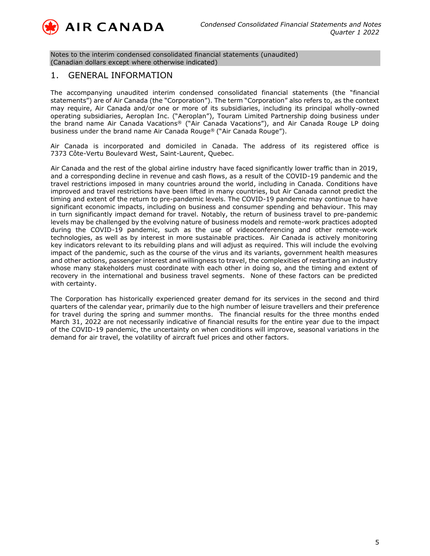

Notes to the interim condensed consolidated financial statements (unaudited) (Canadian dollars except where otherwise indicated)

### 1. GENERAL INFORMATION

The accompanying unaudited interim condensed consolidated financial statements (the "financial statements") are of Air Canada (the "Corporation"). The term "Corporation" also refers to, as the context may require, Air Canada and/or one or more of its subsidiaries, including its principal wholly-owned operating subsidiaries, Aeroplan Inc. ("Aeroplan"), Touram Limited Partnership doing business under the brand name Air Canada Vacations® ("Air Canada Vacations"), and Air Canada Rouge LP doing business under the brand name Air Canada Rouge® ("Air Canada Rouge").

Air Canada is incorporated and domiciled in Canada. The address of its registered office is 7373 Côte-Vertu Boulevard West, Saint-Laurent, Quebec.

Air Canada and the rest of the global airline industry have faced significantly lower traffic than in 2019, and a corresponding decline in revenue and cash flows, as a result of the COVID-19 pandemic and the travel restrictions imposed in many countries around the world, including in Canada. Conditions have improved and travel restrictions have been lifted in many countries, but Air Canada cannot predict the timing and extent of the return to pre-pandemic levels. The COVID-19 pandemic may continue to have significant economic impacts, including on business and consumer spending and behaviour. This may in turn significantly impact demand for travel. Notably, the return of business travel to pre-pandemic levels may be challenged by the evolving nature of business models and remote-work practices adopted during the COVID-19 pandemic, such as the use of videoconferencing and other remote-work technologies, as well as by interest in more sustainable practices. Air Canada is actively monitoring key indicators relevant to its rebuilding plans and will adjust as required. This will include the evolving impact of the pandemic, such as the course of the virus and its variants, government health measures and other actions, passenger interest and willingness to travel, the complexities of restarting an industry whose many stakeholders must coordinate with each other in doing so, and the timing and extent of recovery in the international and business travel segments. None of these factors can be predicted with certainty.

The Corporation has historically experienced greater demand for its services in the second and third quarters of the calendar year, primarily due to the high number of leisure travellers and their preference for travel during the spring and summer months. The financial results for the three months ended March 31, 2022 are not necessarily indicative of financial results for the entire year due to the impact of the COVID-19 pandemic, the uncertainty on when conditions will improve, seasonal variations in the demand for air travel, the volatility of aircraft fuel prices and other factors.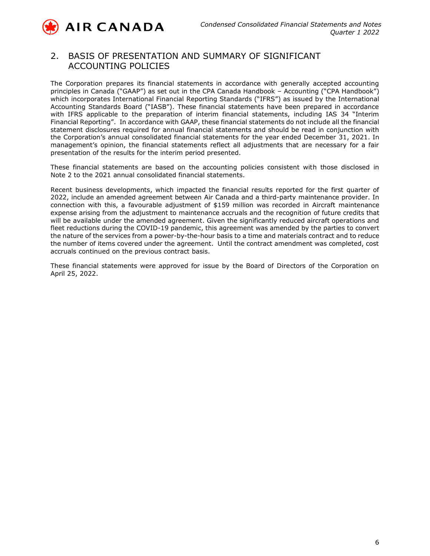

**AIR CANADA** 

### 2. BASIS OF PRESENTATION AND SUMMARY OF SIGNIFICANT ACCOUNTING POLICIES

The Corporation prepares its financial statements in accordance with generally accepted accounting principles in Canada ("GAAP") as set out in the CPA Canada Handbook – Accounting ("CPA Handbook") which incorporates International Financial Reporting Standards ("IFRS") as issued by the International Accounting Standards Board ("IASB"). These financial statements have been prepared in accordance with IFRS applicable to the preparation of interim financial statements, including IAS 34 "Interim Financial Reporting". In accordance with GAAP, these financial statements do not include all the financial statement disclosures required for annual financial statements and should be read in conjunction with the Corporation's annual consolidated financial statements for the year ended December 31, 2021. In management's opinion, the financial statements reflect all adjustments that are necessary for a fair presentation of the results for the interim period presented.

These financial statements are based on the accounting policies consistent with those disclosed in Note 2 to the 2021 annual consolidated financial statements.

Recent business developments, which impacted the financial results reported for the first quarter of 2022, include an amended agreement between Air Canada and a third-party maintenance provider. In connection with this, a favourable adjustment of \$159 million was recorded in Aircraft maintenance expense arising from the adjustment to maintenance accruals and the recognition of future credits that will be available under the amended agreement. Given the significantly reduced aircraft operations and fleet reductions during the COVID-19 pandemic, this agreement was amended by the parties to convert the nature of the services from a power-by-the-hour basis to a time and materials contract and to reduce the number of items covered under the agreement. Until the contract amendment was completed, cost accruals continued on the previous contract basis.

These financial statements were approved for issue by the Board of Directors of the Corporation on April 25, 2022.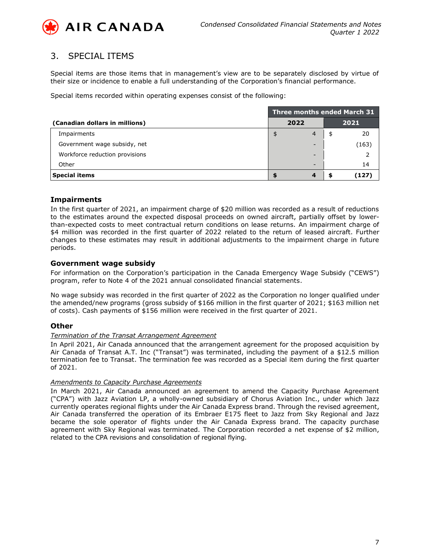

## 3. SPECIAL ITEMS

Special items are those items that in management's view are to be separately disclosed by virtue of their size or incidence to enable a full understanding of the Corporation's financial performance.

Special items recorded within operating expenses consist of the following:

|                                | Three months ended March 31 |                |      |       |  |  |  |  |  |  |
|--------------------------------|-----------------------------|----------------|------|-------|--|--|--|--|--|--|
| (Canadian dollars in millions) |                             | 2022           | 2021 |       |  |  |  |  |  |  |
| Impairments                    |                             | $\overline{4}$ | \$   | 20    |  |  |  |  |  |  |
| Government wage subsidy, net   |                             | -              |      | (163) |  |  |  |  |  |  |
| Workforce reduction provisions |                             | -              |      |       |  |  |  |  |  |  |
| Other                          |                             | -              |      | 14    |  |  |  |  |  |  |
| <b>Special items</b>           |                             |                |      | 127   |  |  |  |  |  |  |

### **Impairments**

In the first quarter of 2021, an impairment charge of \$20 million was recorded as a result of reductions to the estimates around the expected disposal proceeds on owned aircraft, partially offset by lowerthan-expected costs to meet contractual return conditions on lease returns. An impairment charge of \$4 million was recorded in the first quarter of 2022 related to the return of leased aircraft. Further changes to these estimates may result in additional adjustments to the impairment charge in future periods.

### **Government wage subsidy**

For information on the Corporation's participation in the Canada Emergency Wage Subsidy ("CEWS") program, refer to Note 4 of the 2021 annual consolidated financial statements.

No wage subsidy was recorded in the first quarter of 2022 as the Corporation no longer qualified under the amended/new programs (gross subsidy of \$166 million in the first quarter of 2021; \$163 million net of costs). Cash payments of \$156 million were received in the first quarter of 2021.

#### **Other**

#### *Termination of the Transat Arrangement Agreement*

In April 2021, Air Canada announced that the arrangement agreement for the proposed acquisition by Air Canada of Transat A.T. Inc ("Transat") was terminated, including the payment of a \$12.5 million termination fee to Transat. The termination fee was recorded as a Special item during the first quarter of 2021.

#### *Amendments to Capacity Purchase Agreements*

In March 2021, Air Canada announced an agreement to amend the Capacity Purchase Agreement ("CPA") with Jazz Aviation LP, a wholly-owned subsidiary of Chorus Aviation Inc., under which Jazz currently operates regional flights under the Air Canada Express brand. Through the revised agreement, Air Canada transferred the operation of its Embraer E175 fleet to Jazz from Sky Regional and Jazz became the sole operator of flights under the Air Canada Express brand. The capacity purchase agreement with Sky Regional was terminated. The Corporation recorded a net expense of \$2 million, related to the CPA revisions and consolidation of regional flying.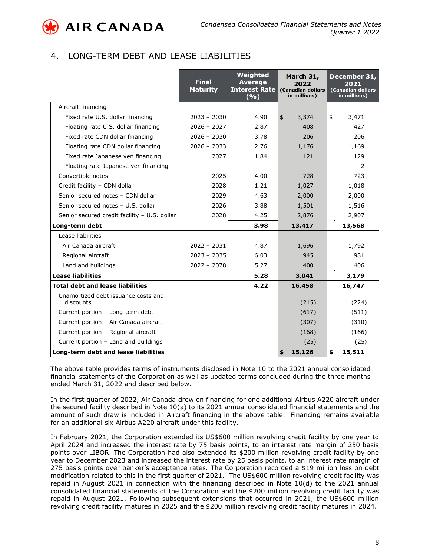

## 4. LONG-TERM DEBT AND LEASE LIABILITIES

|                                                  | <b>Final</b><br><b>Maturity</b> | Weighted<br><b>Average</b><br><b>Interest Rate</b><br>(9/6) | March 31,<br>2022<br>(Canadian dollars<br>in millions) | December 31,<br>2021<br>(Canadian dollars<br>in millions) |  |  |
|--------------------------------------------------|---------------------------------|-------------------------------------------------------------|--------------------------------------------------------|-----------------------------------------------------------|--|--|
| Aircraft financing                               |                                 |                                                             |                                                        |                                                           |  |  |
| Fixed rate U.S. dollar financing                 | $2023 - 2030$                   | 4.90                                                        | 3,374<br>\$                                            | \$<br>3,471                                               |  |  |
| Floating rate U.S. dollar financing              | $2026 - 2027$                   | 2.87                                                        | 408                                                    | 427                                                       |  |  |
| Fixed rate CDN dollar financing                  | $2026 - 2030$                   | 3.78                                                        | 206                                                    | 206                                                       |  |  |
| Floating rate CDN dollar financing               | $2026 - 2033$                   | 2.76                                                        | 1,176                                                  | 1,169                                                     |  |  |
| Fixed rate Japanese yen financing                | 2027                            | 1.84                                                        | 121                                                    | 129                                                       |  |  |
| Floating rate Japanese yen financing             |                                 |                                                             |                                                        | 2                                                         |  |  |
| Convertible notes                                | 2025                            | 4.00                                                        | 728                                                    | 723                                                       |  |  |
| Credit facility - CDN dollar                     | 2028                            | 1.21                                                        | 1,027                                                  | 1,018                                                     |  |  |
| Senior secured notes - CDN dollar                | 2029                            | 4.63                                                        | 2,000                                                  | 2,000                                                     |  |  |
| Senior secured notes - U.S. dollar               | 2026                            | 3.88                                                        | 1,501                                                  | 1,516                                                     |  |  |
| Senior secured credit facility - U.S. dollar     | 2028                            | 4.25                                                        | 2,876                                                  | 2,907                                                     |  |  |
| Long-term debt                                   |                                 | 3.98                                                        | 13,417                                                 | 13,568                                                    |  |  |
| Lease liabilities                                |                                 |                                                             |                                                        |                                                           |  |  |
| Air Canada aircraft                              | $2022 - 2031$                   | 4.87                                                        | 1,696                                                  | 1,792                                                     |  |  |
| Regional aircraft                                | $2023 - 2035$                   | 6.03                                                        | 945                                                    | 981                                                       |  |  |
| Land and buildings                               | $2022 - 2078$                   | 5.27                                                        | 400                                                    | 406                                                       |  |  |
| <b>Lease liabilities</b>                         |                                 | 5.28                                                        | 3,041                                                  | 3,179                                                     |  |  |
| <b>Total debt and lease liabilities</b>          |                                 | 4.22                                                        | 16,458                                                 | 16,747                                                    |  |  |
| Unamortized debt issuance costs and<br>discounts |                                 |                                                             | (215)                                                  | (224)                                                     |  |  |
| Current portion - Long-term debt                 |                                 |                                                             | (617)                                                  | (511)                                                     |  |  |
| Current portion - Air Canada aircraft            |                                 |                                                             | (307)                                                  | (310)                                                     |  |  |
| Current portion - Regional aircraft              |                                 |                                                             | (168)                                                  | (166)                                                     |  |  |
| Current portion - Land and buildings             |                                 |                                                             | (25)                                                   | (25)                                                      |  |  |
| Long-term debt and lease liabilities             |                                 |                                                             | 15,126<br>\$                                           | \$<br>15,511                                              |  |  |

The above table provides terms of instruments disclosed in Note 10 to the 2021 annual consolidated financial statements of the Corporation as well as updated terms concluded during the three months ended March 31, 2022 and described below.

In the first quarter of 2022, Air Canada drew on financing for one additional Airbus A220 aircraft under the secured facility described in Note 10(a) to its 2021 annual consolidated financial statements and the amount of such draw is included in Aircraft financing in the above table. Financing remains available for an additional six Airbus A220 aircraft under this facility.

In February 2021, the Corporation extended its US\$600 million revolving credit facility by one year to April 2024 and increased the interest rate by 75 basis points, to an interest rate margin of 250 basis points over LIBOR. The Corporation had also extended its \$200 million revolving credit facility by one year to December 2023 and increased the interest rate by 25 basis points, to an interest rate margin of 275 basis points over banker's acceptance rates. The Corporation recorded a \$19 million loss on debt modification related to this in the first quarter of 2021. The US\$600 million revolving credit facility was repaid in August 2021 in connection with the financing described in Note 10(d) to the 2021 annual consolidated financial statements of the Corporation and the \$200 million revolving credit facility was repaid in August 2021. Following subsequent extensions that occurred in 2021, the US\$600 million revolving credit facility matures in 2025 and the \$200 million revolving credit facility matures in 2024.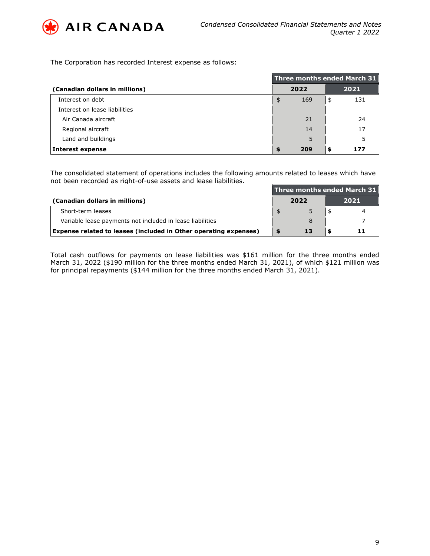

The Corporation has recorded Interest expense as follows:

|                                | Three months ended March 31 |      |    |      |  |  |  |  |  |
|--------------------------------|-----------------------------|------|----|------|--|--|--|--|--|
| (Canadian dollars in millions) |                             | 2022 |    | 2021 |  |  |  |  |  |
| Interest on debt               | \$                          | 169  | \$ | 131  |  |  |  |  |  |
| Interest on lease liabilities  |                             |      |    |      |  |  |  |  |  |
| Air Canada aircraft            |                             | 21   |    | 24   |  |  |  |  |  |
| Regional aircraft              |                             | 14   |    | 17   |  |  |  |  |  |
| Land and buildings             |                             | 5    |    | 5    |  |  |  |  |  |
| Interest expense               |                             | 209  |    | 177  |  |  |  |  |  |

The consolidated statement of operations includes the following amounts related to leases which have not been recorded as right-of-use assets and lease liabilities.

|                                                                  | Three months ended March 31 |      |      |  |  |  |  |  |  |
|------------------------------------------------------------------|-----------------------------|------|------|--|--|--|--|--|--|
| (Canadian dollars in millions)                                   |                             | 2022 | 2021 |  |  |  |  |  |  |
| Short-term leases                                                |                             |      |      |  |  |  |  |  |  |
| Variable lease payments not included in lease liabilities        |                             |      |      |  |  |  |  |  |  |
| Expense related to leases (included in Other operating expenses) |                             | 13   |      |  |  |  |  |  |  |

Total cash outflows for payments on lease liabilities was \$161 million for the three months ended March 31, 2022 (\$190 million for the three months ended March 31, 2021), of which \$121 million was for principal repayments (\$144 million for the three months ended March 31, 2021).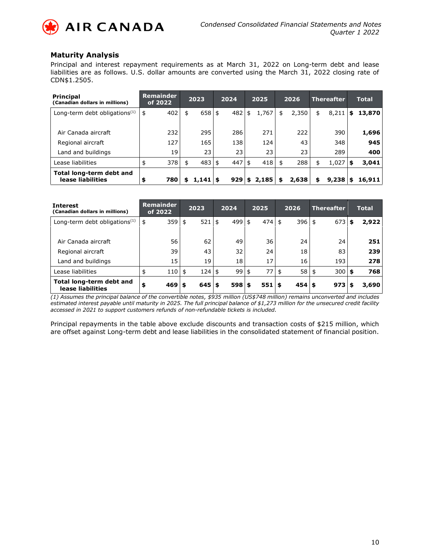

### **Maturity Analysis**

Principal and interest repayment requirements as at March 31, 2022 on Long-term debt and lease liabilities are as follows. U.S. dollar amounts are converted using the March 31, 2022 closing rate of CDN\$1.2505.

| <b>Principal</b><br>(Canadian dollars in millions) | <b>Remainder</b><br>of 2022 |    | 2023        |  |          |    |       |    | 2024  |    | 2025  |    | 2026   |  |  |  |  |  |  |  |  |  | <b>Thereafter</b> |  |  |  | <b>Total</b> |
|----------------------------------------------------|-----------------------------|----|-------------|--|----------|----|-------|----|-------|----|-------|----|--------|--|--|--|--|--|--|--|--|--|-------------------|--|--|--|--------------|
| Long-term debt obligations $(1)$                   | 402<br>\$                   | \$ | 658 \$      |  | 482      | \$ | 1,767 | \$ | 2,350 | \$ | 8,211 | \$ | 13,870 |  |  |  |  |  |  |  |  |  |                   |  |  |  |              |
|                                                    |                             |    |             |  |          |    |       |    |       |    |       |    |        |  |  |  |  |  |  |  |  |  |                   |  |  |  |              |
| Air Canada aircraft                                | 232                         |    | 295         |  | 286      |    | 271   |    | 222   |    | 390   |    | 1,696  |  |  |  |  |  |  |  |  |  |                   |  |  |  |              |
| Regional aircraft                                  | 127                         |    | 165         |  | 138      |    | 124   |    | 43    |    | 348   |    | 945    |  |  |  |  |  |  |  |  |  |                   |  |  |  |              |
| Land and buildings                                 | 19                          |    | 23          |  | 23       |    | 23    |    | 23    |    | 289   |    | 400    |  |  |  |  |  |  |  |  |  |                   |  |  |  |              |
| Lease liabilities                                  | 378<br>\$                   | \$ | $483 \;$ \$ |  | $447$ \$ |    | 418   | \$ | 288   | \$ | 1,027 | \$ | 3,041  |  |  |  |  |  |  |  |  |  |                   |  |  |  |              |
| Total long-term debt and<br>lease liabilities      | 780<br>\$                   |    | 1,141       |  | 929      | S. | 2,185 | S  | 2,638 | \$ | 9,238 | S  | 16,911 |  |  |  |  |  |  |  |  |  |                   |  |  |  |              |

| <b>Interest</b><br>(Canadian dollars in millions) | <b>Remainder</b><br>of 2022 | 2023      | 2024       | 2025 | 2026            | <b>Thereafter</b> | <b>Total</b> |
|---------------------------------------------------|-----------------------------|-----------|------------|------|-----------------|-------------------|--------------|
| Long-term debt obligations $(1)$                  | 359<br>\$                   | 521<br>\$ | 4995<br>\$ | 474  | 396<br>\$       | 673<br>\$         | 2,922        |
|                                                   |                             |           |            |      |                 |                   |              |
| Air Canada aircraft                               | 56                          | 62        | 49         | 36   | 24              | 24                | 251          |
| Regional aircraft                                 | 39                          | 43        | 32         | 24   | 18              | 83                | 239          |
| Land and buildings                                | 15                          | 19        | 18         | 17   | 16              | 193               | 278          |
| Lease liabilities                                 | 110                         | 124<br>\$ | 995<br>\$  | 77   | 58              | $300$   \$<br>\$  | 768          |
| Total long-term debt and<br>lease liabilities     | \$<br>469                   | 645       | $598$ \$   | 551  | $454$ \$<br>l S | $973$ \$          | 3,690        |

*(1) Assumes the principal balance of the convertible notes, \$935 million (US\$748 million) remains unconverted and includes estimated interest payable until maturity in 2025. The full principal balance of \$1,273 million for the unsecured credit facility accessed in 2021 to support customers refunds of non-refundable tickets is included.*

Principal repayments in the table above exclude discounts and transaction costs of \$215 million, which are offset against Long-term debt and lease liabilities in the consolidated statement of financial position.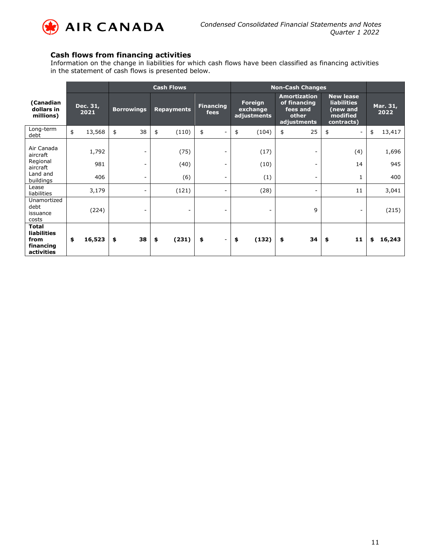

### **Cash flows from financing activities**

Information on the change in liabilities for which cash flows have been classified as financing activities in the statement of cash flows is presented below.

|                                                                       |                                       | <b>Cash Flows</b> |                          |    |                          |    |                                    | <b>Non-Cash Changes</b>                                                 |    |                                                                              |                                |                  |        |
|-----------------------------------------------------------------------|---------------------------------------|-------------------|--------------------------|----|--------------------------|----|------------------------------------|-------------------------------------------------------------------------|----|------------------------------------------------------------------------------|--------------------------------|------------------|--------|
| (Canadian<br>dollars in<br>millions)                                  | Dec. 31,<br><b>Borrowings</b><br>2021 |                   | <b>Repayments</b>        |    | Financing<br>fees        |    | Foreign<br>exchange<br>adjustments | <b>Amortization</b><br>of financing<br>fees and<br>other<br>adjustments |    | <b>New lease</b><br><b>liabilities</b><br>(new and<br>modified<br>contracts) |                                | Mar. 31,<br>2022 |        |
| Long-term<br>debt                                                     | \$<br>13,568                          | \$                | 38                       | \$ | (110)                    | \$ | $\overline{\phantom{a}}$           | \$<br>(104)                                                             | \$ | 25                                                                           | \$<br>$\overline{\phantom{a}}$ | \$               | 13,417 |
| Air Canada<br>aircraft                                                | 1,792                                 |                   |                          |    | (75)                     |    | $\overline{\phantom{0}}$           | (17)                                                                    |    | $\overline{\phantom{a}}$                                                     | (4)                            |                  | 1,696  |
| Regional<br>aircraft                                                  | 981                                   |                   | $\overline{\phantom{0}}$ |    | (40)                     |    | $\overline{\phantom{a}}$           | (10)                                                                    |    | $\overline{\phantom{0}}$                                                     | 14                             |                  | 945    |
| Land and<br>buildings                                                 | 406                                   |                   |                          |    | (6)                      |    | $\overline{\phantom{a}}$           | (1)                                                                     |    | $\overline{\phantom{a}}$                                                     | 1                              |                  | 400    |
| Lease<br>liabilities                                                  | 3,179                                 |                   |                          |    | (121)                    |    | $\overline{\phantom{a}}$           | (28)                                                                    |    | $\qquad \qquad \blacksquare$                                                 | 11                             |                  | 3,041  |
| Unamortized<br>debt<br>issuance<br>costs                              | (224)                                 |                   |                          |    | $\overline{\phantom{a}}$ |    | $\overline{\phantom{a}}$           | $\overline{\phantom{a}}$                                                |    | 9                                                                            | $\overline{\phantom{a}}$       |                  | (215)  |
| <b>Total</b><br><b>liabilities</b><br>from<br>financing<br>activities | \$<br>16,523                          | \$                | 38                       | \$ | (231)                    | \$ | $\overline{\phantom{a}}$           | (132)<br>\$                                                             | \$ | 34                                                                           | 11<br>\$                       | \$               | 16,243 |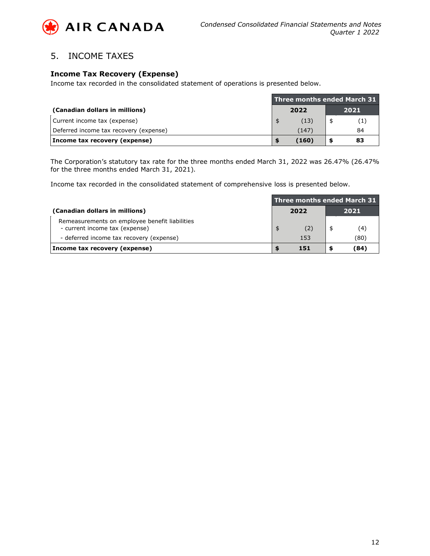

## 5. INCOME TAXES

### **Income Tax Recovery (Expense)**

Income tax recorded in the consolidated statement of operations is presented below.

|                                        | Three months ended March 31 |       |  |      |  |  |  |
|----------------------------------------|-----------------------------|-------|--|------|--|--|--|
| (Canadian dollars in millions)         |                             | 2022  |  | 2021 |  |  |  |
| Current income tax (expense)           |                             | (13)  |  |      |  |  |  |
| Deferred income tax recovery (expense) |                             | (147) |  | 84   |  |  |  |
| Income tax recovery (expense)          | 83<br>(160)                 |       |  |      |  |  |  |

The Corporation's statutory tax rate for the three months ended March 31, 2022 was 26.47% (26.47% for the three months ended March 31, 2021).

Income tax recorded in the consolidated statement of comprehensive loss is presented below.

|                                                                                  | Three months ended March 31 |      |      |      |  |  |  |
|----------------------------------------------------------------------------------|-----------------------------|------|------|------|--|--|--|
| (Canadian dollars in millions)                                                   |                             | 2022 | 2021 |      |  |  |  |
| Remeasurements on employee benefit liabilities<br>- current income tax (expense) |                             | (2)  |      | (4)  |  |  |  |
| - deferred income tax recovery (expense)                                         |                             | 153  |      | (80) |  |  |  |
| Income tax recovery (expense)                                                    |                             | 151  |      | (84) |  |  |  |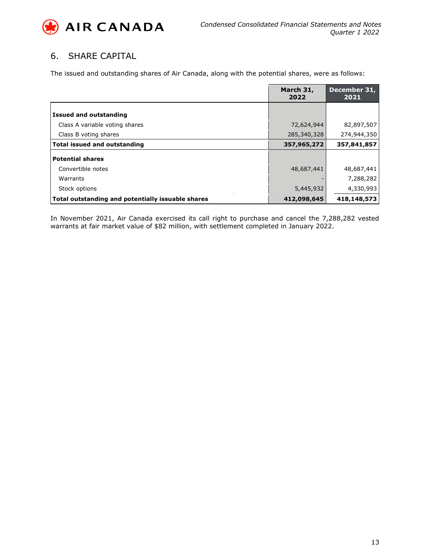

# 6. SHARE CAPITAL

The issued and outstanding shares of Air Canada, along with the potential shares, were as follows:

|                                                   | March 31,<br>2022 | December 31,<br>2021 |
|---------------------------------------------------|-------------------|----------------------|
| <b>Issued and outstanding</b>                     |                   |                      |
| Class A variable voting shares                    | 72,624,944        | 82,897,507           |
| Class B voting shares                             | 285,340,328       | 274,944,350          |
| <b>Total issued and outstanding</b>               | 357,965,272       | 357,841,857          |
| <b>Potential shares</b>                           |                   |                      |
| Convertible notes                                 | 48,687,441        | 48,687,441           |
| Warrants                                          |                   | 7,288,282            |
| Stock options                                     | 5,445,932         | 4,330,993            |
| Total outstanding and potentially issuable shares | 412,098,645       | 418,148,573          |

In November 2021, Air Canada exercised its call right to purchase and cancel the 7,288,282 vested warrants at fair market value of \$82 million, with settlement completed in January 2022.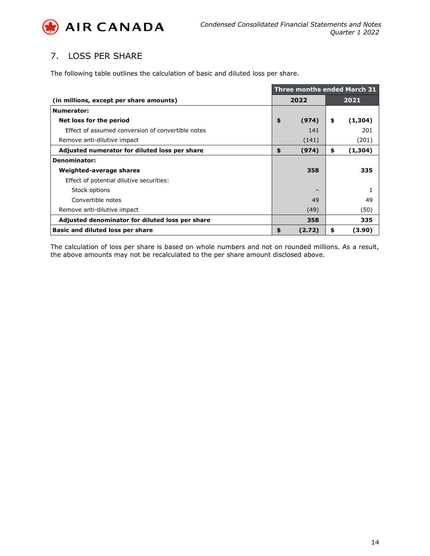

# 7. LOSS PER SHARE

The following table outlines the calculation of basic and diluted loss per share.

|                                                   | <b>Three months ended March 31</b> |        |    |         |  |  |
|---------------------------------------------------|------------------------------------|--------|----|---------|--|--|
| (in millions, except per share amounts)           | 2022                               |        |    | 2021    |  |  |
| Numerator:                                        |                                    |        |    |         |  |  |
| Net loss for the period                           | \$                                 | (974)  | \$ | (1,304) |  |  |
| Effect of assumed conversion of convertible notes |                                    | 141    |    | 201     |  |  |
| Remove anti-dilutive impact                       |                                    | (141)  |    | (201)   |  |  |
| Adjusted numerator for diluted loss per share     | \$<br>(974)                        |        | \$ | (1,304) |  |  |
| <b>Denominator:</b>                               |                                    |        |    |         |  |  |
| Weighted-average shares                           |                                    | 358    |    | 335     |  |  |
| Effect of potential dilutive securities:          |                                    |        |    |         |  |  |
| Stock options                                     |                                    |        |    |         |  |  |
| Convertible notes                                 |                                    | 49     |    | 49      |  |  |
| Remove anti-dilutive impact                       |                                    | (49)   |    | (50)    |  |  |
| Adjusted denominator for diluted loss per share   |                                    | 358    |    | 335     |  |  |
| Basic and diluted loss per share                  | \$                                 | (2.72) | \$ | (3.90)  |  |  |

The calculation of loss per share is based on whole numbers and not on rounded millions. As a result, the above amounts may not be recalculated to the per share amount disclosed above.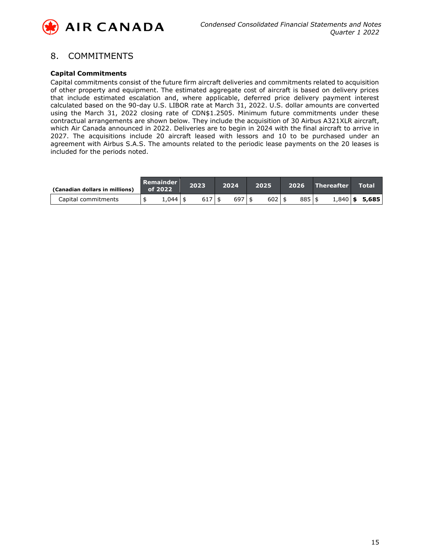

## 8. COMMITMENTS

#### **Capital Commitments**

Capital commitments consist of the future firm aircraft deliveries and commitments related to acquisition of other property and equipment. The estimated aggregate cost of aircraft is based on delivery prices that include estimated escalation and, where applicable, deferred price delivery payment interest calculated based on the 90-day U.S. LIBOR rate at March 31, 2022. U.S. dollar amounts are converted using the March 31, 2022 closing rate of CDN\$1.2505. Minimum future commitments under these contractual arrangements are shown below. They include the acquisition of 30 Airbus A321XLR aircraft, which Air Canada announced in 2022. Deliveries are to begin in 2024 with the final aircraft to arrive in 2027. The acquisitions include 20 aircraft leased with lessors and 10 to be purchased under an agreement with Airbus S.A.S. The amounts related to the periodic lease payments on the 20 leases is included for the periods noted.

| (Canadian dollars in millions) | Remainder<br>$\overline{\phantom{0}}$ of 2022 | 2023     | 2024       | 2025       | 2026       | Thereafter |              | <b>Total</b> |
|--------------------------------|-----------------------------------------------|----------|------------|------------|------------|------------|--------------|--------------|
| Capital commitments            | 1.044                                         | $617$ \$ | $697$   \$ | $602$   \$ | $885$   \$ |            | $1,840$   \$ | 5,685        |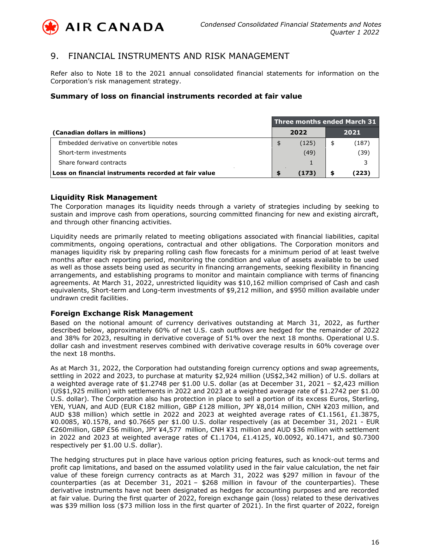

## 9. FINANCIAL INSTRUMENTS AND RISK MANAGEMENT

Refer also to Note 18 to the 2021 annual consolidated financial statements for information on the Corporation's risk management strategy.

### **Summary of loss on financial instruments recorded at fair value**

|                                                      | Three months ended March 31 $^{\circ}$ |       |      |       |  |  |  |  |
|------------------------------------------------------|----------------------------------------|-------|------|-------|--|--|--|--|
| (Canadian dollars in millions)                       |                                        | 2022  | 2021 |       |  |  |  |  |
| Embedded derivative on convertible notes             |                                        | (125) | \$   | (187) |  |  |  |  |
| Short-term investments                               |                                        | (49)  |      | (39)  |  |  |  |  |
| Share forward contracts                              |                                        |       |      |       |  |  |  |  |
| Loss on financial instruments recorded at fair value | S                                      | (173) | S    | (223) |  |  |  |  |

### **Liquidity Risk Management**

The Corporation manages its liquidity needs through a variety of strategies including by seeking to sustain and improve cash from operations, sourcing committed financing for new and existing aircraft, and through other financing activities.

Liquidity needs are primarily related to meeting obligations associated with financial liabilities, capital commitments, ongoing operations, contractual and other obligations. The Corporation monitors and manages liquidity risk by preparing rolling cash flow forecasts for a minimum period of at least twelve months after each reporting period, monitoring the condition and value of assets available to be used as well as those assets being used as security in financing arrangements, seeking flexibility in financing arrangements, and establishing programs to monitor and maintain compliance with terms of financing agreements. At March 31, 2022, unrestricted liquidity was \$10,162 million comprised of Cash and cash equivalents, Short-term and Long-term investments of \$9,212 million, and \$950 million available under undrawn credit facilities.

#### **Foreign Exchange Risk Management**

Based on the notional amount of currency derivatives outstanding at March 31, 2022, as further described below, approximately 60% of net U.S. cash outflows are hedged for the remainder of 2022 and 38% for 2023, resulting in derivative coverage of 51% over the next 18 months. Operational U.S. dollar cash and investment reserves combined with derivative coverage results in 60% coverage over the next 18 months.

As at March 31, 2022, the Corporation had outstanding foreign currency options and swap agreements, settling in 2022 and 2023, to purchase at maturity \$2,924 million (US\$2,342 million) of U.S. dollars at a weighted average rate of \$1.2748 per \$1.00 U.S. dollar (as at December 31, 2021 – \$2,423 million (US\$1,925 million) with settlements in 2022 and 2023 at a weighted average rate of \$1.2742 per \$1.00 U.S. dollar). The Corporation also has protection in place to sell a portion of its excess Euros, Sterling, YEN, YUAN, and AUD (EUR €182 million, GBP £128 million, JPY ¥8,014 million, CNH ¥203 million, and AUD \$38 million) which settle in 2022 and 2023 at weighted average rates of  $E1.1561$ ,  $E1.3875$ , ¥0.0085, ¥0.1578, and \$0.7665 per \$1.00 U.S. dollar respectively (as at December 31, 2021 - EUR €260million, GBP £56 million, JPY ¥4,577 million, CNH ¥31 million and AUD \$36 million with settlement in 2022 and 2023 at weighted average rates of €1.1704, £1.4125, ¥0.0092, ¥0.1471, and \$0.7300 respectively per \$1.00 U.S. dollar).

The hedging structures put in place have various option pricing features, such as knock-out terms and profit cap limitations, and based on the assumed volatility used in the fair value calculation, the net fair value of these foreign currency contracts as at March 31, 2022 was \$297 million in favour of the counterparties (as at December 31, 2021 – \$268 million in favour of the counterparties). These derivative instruments have not been designated as hedges for accounting purposes and are recorded at fair value. During the first quarter of 2022, foreign exchange gain (loss) related to these derivatives was \$39 million loss (\$73 million loss in the first quarter of 2021). In the first quarter of 2022, foreign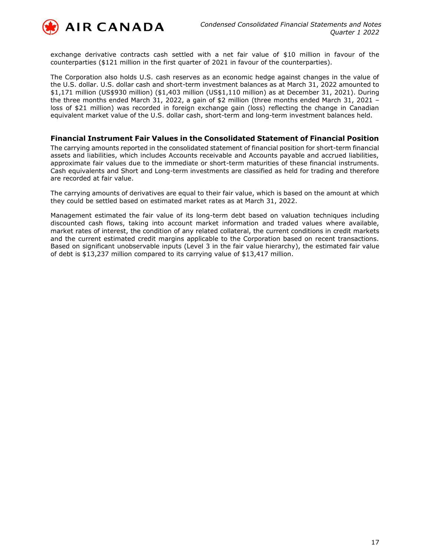

exchange derivative contracts cash settled with a net fair value of \$10 million in favour of the counterparties (\$121 million in the first quarter of 2021 in favour of the counterparties).

The Corporation also holds U.S. cash reserves as an economic hedge against changes in the value of the U.S. dollar. U.S. dollar cash and short-term investment balances as at March 31, 2022 amounted to \$1,171 million (US\$930 million) (\$1,403 million (US\$1,110 million) as at December 31, 2021). During the three months ended March 31, 2022, a gain of \$2 million (three months ended March 31, 2021 – loss of \$21 million) was recorded in foreign exchange gain (loss) reflecting the change in Canadian equivalent market value of the U.S. dollar cash, short-term and long-term investment balances held.

#### **Financial Instrument Fair Values in the Consolidated Statement of Financial Position**

The carrying amounts reported in the consolidated statement of financial position for short-term financial assets and liabilities, which includes Accounts receivable and Accounts payable and accrued liabilities, approximate fair values due to the immediate or short-term maturities of these financial instruments. Cash equivalents and Short and Long-term investments are classified as held for trading and therefore are recorded at fair value.

The carrying amounts of derivatives are equal to their fair value, which is based on the amount at which they could be settled based on estimated market rates as at March 31, 2022.

Management estimated the fair value of its long-term debt based on valuation techniques including discounted cash flows, taking into account market information and traded values where available, market rates of interest, the condition of any related collateral, the current conditions in credit markets and the current estimated credit margins applicable to the Corporation based on recent transactions. Based on significant unobservable inputs (Level 3 in the fair value hierarchy), the estimated fair value of debt is \$13,237 million compared to its carrying value of \$13,417 million.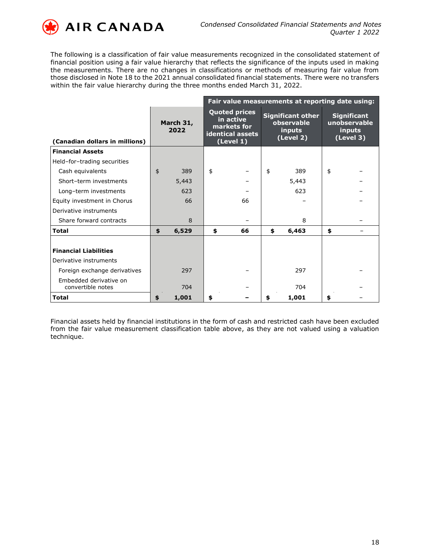

The following is a classification of fair value measurements recognized in the consolidated statement of financial position using a fair value hierarchy that reflects the significance of the inputs used in making the measurements. There are no changes in classifications or methods of measuring fair value from those disclosed in Note 18 to the 2021 annual consolidated financial statements. There were no transfers within the fair value hierarchy during the three months ended March 31, 2022.

|                                             |                   |       | Fair value measurements at reporting date using:                                  |    |    |                                                               |                                                           |  |  |  |  |
|---------------------------------------------|-------------------|-------|-----------------------------------------------------------------------------------|----|----|---------------------------------------------------------------|-----------------------------------------------------------|--|--|--|--|
| (Canadian dollars in millions)              | March 31,<br>2022 |       | <b>Quoted prices</b><br>in active<br>markets for<br>identical assets<br>(Level 1) |    |    | <b>Significant other</b><br>observable<br>inputs<br>(Level 2) | <b>Significant</b><br>unobservable<br>inputs<br>(Level 3) |  |  |  |  |
| <b>Financial Assets</b>                     |                   |       |                                                                                   |    |    |                                                               |                                                           |  |  |  |  |
| Held-for-trading securities                 |                   |       |                                                                                   |    |    |                                                               |                                                           |  |  |  |  |
| Cash equivalents                            | \$                | 389   | \$                                                                                |    | \$ | 389                                                           | \$                                                        |  |  |  |  |
| Short-term investments                      |                   | 5,443 |                                                                                   |    |    | 5,443                                                         |                                                           |  |  |  |  |
| Long-term investments                       |                   | 623   |                                                                                   |    |    | 623                                                           |                                                           |  |  |  |  |
| Equity investment in Chorus                 |                   | 66    |                                                                                   | 66 |    |                                                               |                                                           |  |  |  |  |
| Derivative instruments                      |                   |       |                                                                                   |    |    |                                                               |                                                           |  |  |  |  |
| Share forward contracts                     |                   | 8     |                                                                                   |    |    | 8                                                             |                                                           |  |  |  |  |
| <b>Total</b>                                | \$                | 6,529 | \$                                                                                | 66 | \$ | 6,463                                                         | \$                                                        |  |  |  |  |
|                                             |                   |       |                                                                                   |    |    |                                                               |                                                           |  |  |  |  |
| <b>Financial Liabilities</b>                |                   |       |                                                                                   |    |    |                                                               |                                                           |  |  |  |  |
| Derivative instruments                      |                   |       |                                                                                   |    |    |                                                               |                                                           |  |  |  |  |
| Foreign exchange derivatives                |                   | 297   |                                                                                   |    |    | 297                                                           |                                                           |  |  |  |  |
| Embedded derivative on<br>convertible notes |                   | 704   |                                                                                   |    |    | 704                                                           |                                                           |  |  |  |  |
| <b>Total</b>                                | \$                | 1,001 | \$                                                                                |    | \$ | 1,001                                                         | \$                                                        |  |  |  |  |

Financial assets held by financial institutions in the form of cash and restricted cash have been excluded from the fair value measurement classification table above, as they are not valued using a valuation technique.